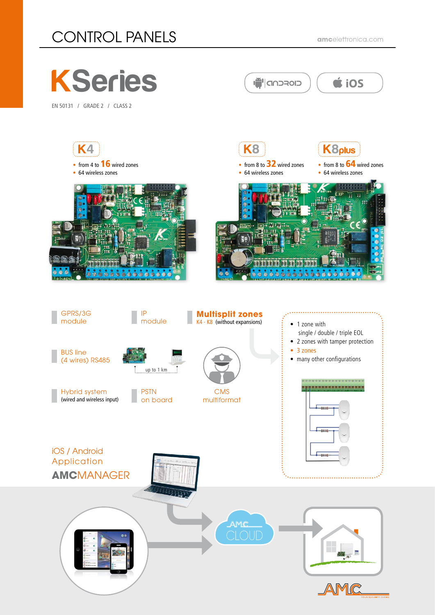